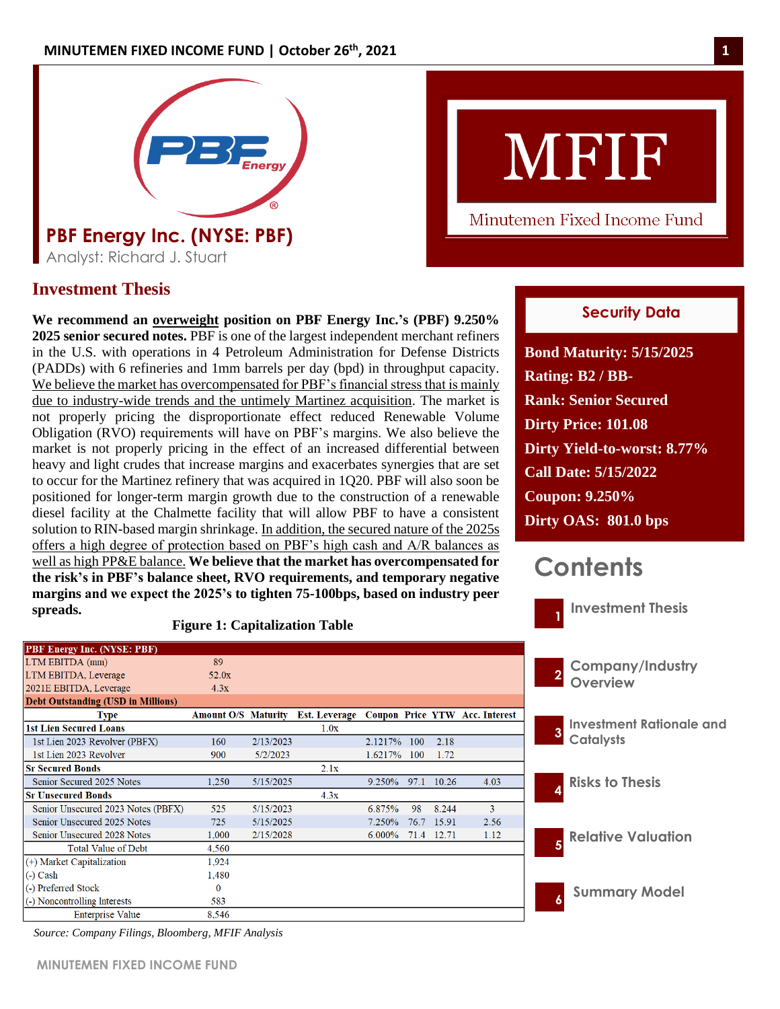

# **Investment Thesis Investment Thesis**

**We recommend an overweight position on PBF Energy Inc.'s (PBF) 9.250% 2025 senior secured notes.** PBF is one of the largest independent merchant refiners in the U.S. with operations in 4 Petroleum Administration for Defense Districts (PADDs) with 6 refineries and 1mm barrels per day (bpd) in throughput capacity. We believe the market has overcompensated for PBF's financial stress that is mainly due to industry-wide trends and the untimely Martinez acquisition. The market is not properly pricing the disproportionate effect reduced Renewable Volume Obligation (RVO) requirements will have on PBF's margins. We also believe the market is not properly pricing in the effect of an increased differential between heavy and light crudes that increase margins and exacerbates synergies that are set to occur for the Martinez refinery that was acquired in 1Q20. PBF will also soon be positioned for longer-term margin growth due to the construction of a renewable diesel facility at the Chalmette facility that will allow PBF to have a consistent solution to RIN-based margin shrinkage. In addition, the secured nature of the 2025s offers a high degree of protection based on PBF's high cash and A/R balances as well as high PP&E balance. **We believe that the market has overcompensated for the risk's in PBF's balance sheet, RVO requirements, and temporary negative margins and we expect the 2025's to tighten 75-100bps, based on industry peer spreads.**

### **Figure 1: Capitalization Table**

| <b>PBF Energy Inc. (NYSE: PBF)</b>        |                            |           |                                              |            |      |            |      |
|-------------------------------------------|----------------------------|-----------|----------------------------------------------|------------|------|------------|------|
| LTM EBITDA (mm)                           | 89                         |           |                                              |            |      |            |      |
| LTM EBITDA, Leverage                      | 52.0x                      |           |                                              |            |      |            |      |
| 2021E EBITDA, Leverage                    | 4.3x                       |           |                                              |            |      |            |      |
| <b>Debt Outstanding (USD in Millions)</b> |                            |           |                                              |            |      |            |      |
| <b>Type</b>                               | <b>Amount O/S Maturity</b> |           | Est. Leverage Coupon Price YTW Acc. Interest |            |      |            |      |
| <b>1st Lien Secured Loans</b>             |                            |           | 1.0x                                         |            |      |            |      |
| 1st Lien 2023 Revolver (PBFX)             | 160                        | 2/13/2023 |                                              | 2.1217%    | 100  | 2.18       |      |
| 1st Lien 2023 Revolver                    | 900                        | 5/2/2023  |                                              | $1.6217\%$ | 100  | 1.72       |      |
| <b>Sr Secured Bonds</b>                   |                            |           | 2.1x                                         |            |      |            |      |
| Senior Secured 2025 Notes                 | 1.250                      | 5/15/2025 |                                              | 9.250%     | 97.1 | 10.26      | 4.03 |
| <b>Sr Unsecured Bonds</b>                 |                            |           | 4.3x                                         |            |      |            |      |
| Senior Unsecured 2023 Notes (PBFX)        | 525                        | 5/15/2023 |                                              | 6.875%     | 98   | 8.244      | 3    |
| Senior Unsecured 2025 Notes               | 725                        | 5/15/2025 |                                              | $7.250\%$  |      | 76.7 15.91 | 2.56 |
| Senior Unsecured 2028 Notes               | 1,000                      | 2/15/2028 |                                              | $6.000\%$  |      | 71.4 12.71 | 1.12 |
| <b>Total Value of Debt</b>                | 4,560                      |           |                                              |            |      |            |      |
| (+) Market Capitalization                 | 1,924                      |           |                                              |            |      |            |      |
| $(-)$ Cash                                | 1,480                      |           |                                              |            |      |            |      |
| (-) Preferred Stock                       | $\Omega$                   |           |                                              |            |      |            |      |
| (-) Noncontrolling Interests              | 583                        |           |                                              |            |      |            |      |
| Enterprice Value                          | 8.546                      |           |                                              |            |      |            |      |

# MFIF

Minutemen Fixed Income Fund

# **Security Data**

**Bond Maturity: 5/15/2025 Rating: B2 / BB-Rank: Senior Secured Dirty Price: 101.08 Dirty Yield-to-worst: 8.77% Call Date: 5/15/2022 Coupon: 9.250% Dirty OAS: 801.0 bps**

# **Contents**



*Source: Company Filings, Bloomberg, MFIF Analysis*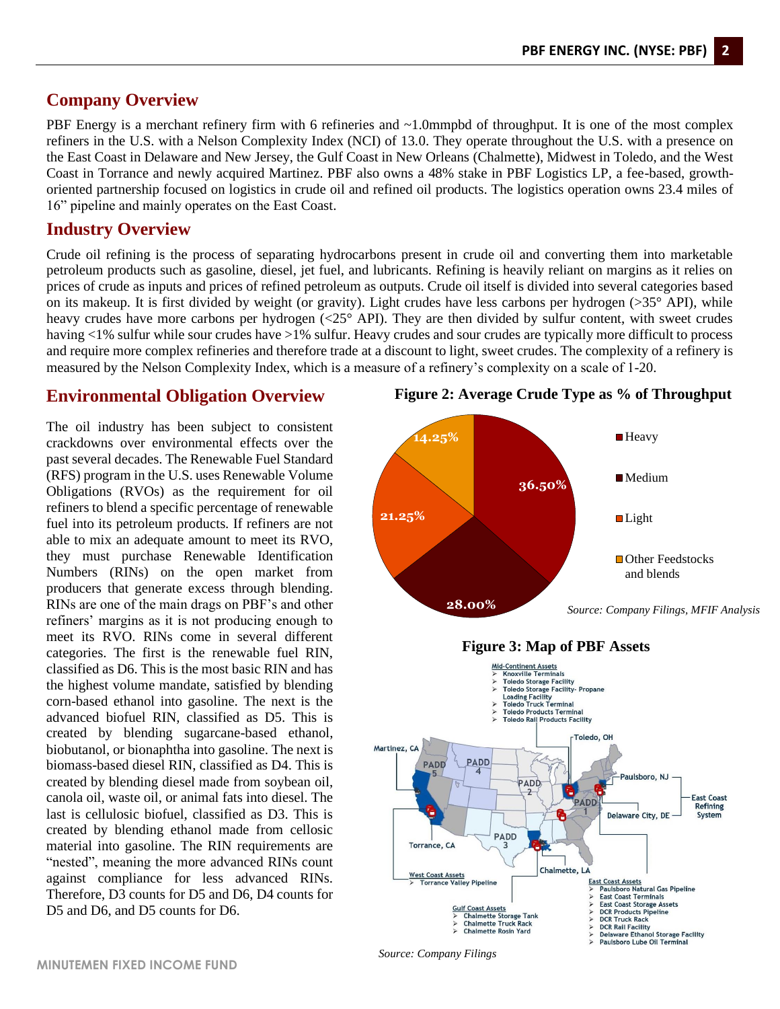# **Company Overview**

PBF Energy is a merchant refinery firm with 6 refineries and ~1.0mmpbd of throughput. It is one of the most complex refiners in the U.S. with a Nelson Complexity Index (NCI) of 13.0. They operate throughout the U.S. with a presence on the East Coast in Delaware and New Jersey, the Gulf Coast in New Orleans (Chalmette), Midwest in Toledo, and the West Coast in Torrance and newly acquired Martinez. PBF also owns a 48% stake in PBF Logistics LP, a fee-based, growthoriented partnership focused on logistics in crude oil and refined oil products. The logistics operation owns 23.4 miles of 16" pipeline and mainly operates on the East Coast.

# **Industry Overview**

Crude oil refining is the process of separating hydrocarbons present in crude oil and converting them into marketable petroleum products such as gasoline, diesel, jet fuel, and lubricants. Refining is heavily reliant on margins as it relies on prices of crude as inputs and prices of refined petroleum as outputs. Crude oil itself is divided into several categories based on its makeup. It is first divided by weight (or gravity). Light crudes have less carbons per hydrogen  $(>35^{\circ}$  API), while heavy crudes have more carbons per hydrogen (<25° API). They are then divided by sulfur content, with sweet crudes having <1% sulfur while sour crudes have >1% sulfur. Heavy crudes and sour crudes are typically more difficult to process and require more complex refineries and therefore trade at a discount to light, sweet crudes. The complexity of a refinery is measured by the Nelson Complexity Index, which is a measure of a refinery's complexity on a scale of 1-20.

# **Environmental Obligation Overview**

The oil industry has been subject to consistent crackdowns over environmental effects over the past several decades. The Renewable Fuel Standard (RFS) program in the U.S. uses Renewable Volume Obligations (RVOs) as the requirement for oil refiners to blend a specific percentage of renewable fuel into its petroleum products. If refiners are not able to mix an adequate amount to meet its RVO, they must purchase Renewable Identification Numbers (RINs) on the open market from producers that generate excess through blending. RINs are one of the main drags on PBF's and other refiners' margins as it is not producing enough to meet its RVO. RINs come in several different categories. The first is the renewable fuel RIN, classified as D6. This is the most basic RIN and has the highest volume mandate, satisfied by blending corn-based ethanol into gasoline. The next is the advanced biofuel RIN, classified as D5. This is created by blending sugarcane-based ethanol, biobutanol, or bionaphtha into gasoline. The next is biomass-based diesel RIN, classified as D4. This is created by blending diesel made from soybean oil, canola oil, waste oil, or animal fats into diesel. The last is cellulosic biofuel, classified as D3. This is created by blending ethanol made from cellosic material into gasoline. The RIN requirements are "nested", meaning the more advanced RINs count against compliance for less advanced RINs. Therefore, D3 counts for D5 and D6, D4 counts for D5 and D6, and D5 counts for D6.



# **Figure 2: Average Crude Type as % of Throughput**



*Source: Company Filings*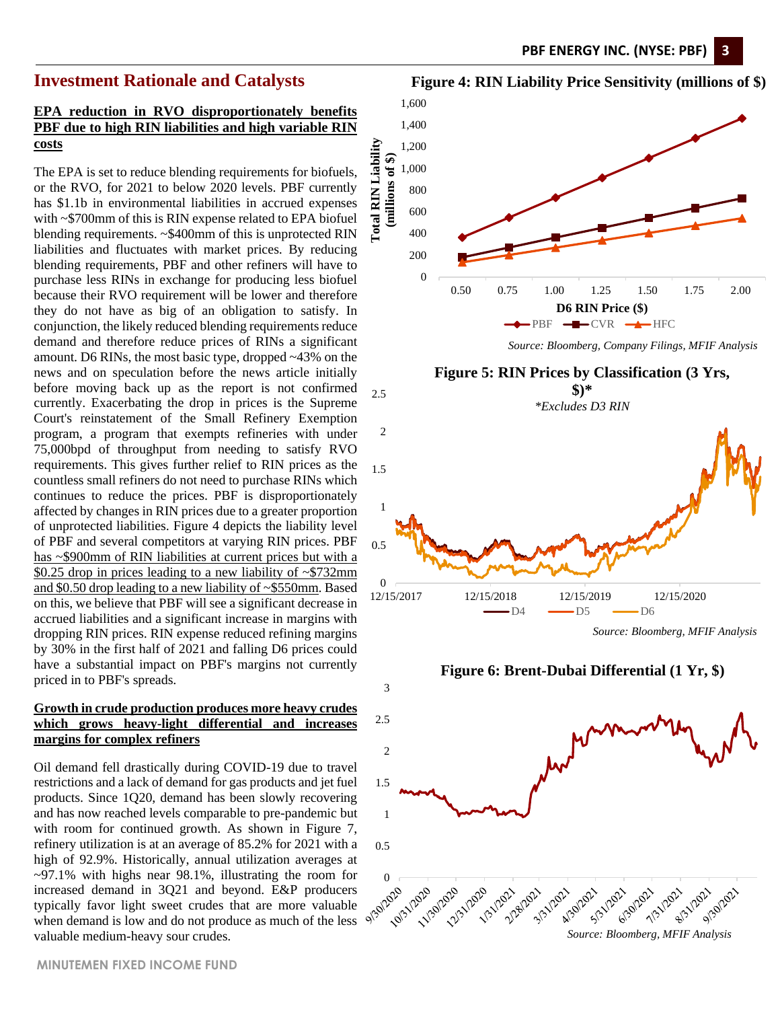# **Investment Rationale and Catalysts**

### **EPA reduction in RVO disproportionately benefits PBF due to high RIN liabilities and high variable RIN costs**

The EPA is set to reduce blending requirements for biofuels, or the RVO, for 2021 to below 2020 levels. PBF currently has \$1.1b in environmental liabilities in accrued expenses with ~\$700mm of this is RIN expense related to EPA biofuel blending requirements. ~\$400mm of this is unprotected RIN liabilities and fluctuates with market prices. By reducing blending requirements, PBF and other refiners will have to purchase less RINs in exchange for producing less biofuel because their RVO requirement will be lower and therefore they do not have as big of an obligation to satisfy. In conjunction, the likely reduced blending requirements reduce demand and therefore reduce prices of RINs a significant amount. D6 RINs, the most basic type, dropped ~43% on the news and on speculation before the news article initially before moving back up as the report is not confirmed currently. Exacerbating the drop in prices is the Supreme Court's reinstatement of the Small Refinery Exemption program, a program that exempts refineries with under 75,000bpd of throughput from needing to satisfy RVO requirements. This gives further relief to RIN prices as the countless small refiners do not need to purchase RINs which continues to reduce the prices. PBF is disproportionately affected by changes in RIN prices due to a greater proportion of unprotected liabilities. Figure 4 depicts the liability level of PBF and several competitors at varying RIN prices. PBF has ~\$900mm of RIN liabilities at current prices but with a \$0.25 drop in prices leading to a new liability of ~\$732mm and \$0.50 drop leading to a new liability of ~\$550mm. Based on this, we believe that PBF will see a significant decrease in accrued liabilities and a significant increase in margins with dropping RIN prices. RIN expense reduced refining margins by 30% in the first half of 2021 and falling D6 prices could have a substantial impact on PBF's margins not currently priced in to PBF's spreads.

### **Growth in crude production produces more heavy crudes which grows heavy-light differential and increases margins for complex refiners**

3

Oil demand fell drastically during COVID-19 due to travel restrictions and a lack of demand for gas products and jet fuel products. Since 1Q20, demand has been slowly recovering and has now reached levels comparable to pre-pandemic but with room for continued growth. As shown in Figure 7, refinery utilization is at an average of 85.2% for 2021 with a high of 92.9%. Historically, annual utilization averages at ~97.1% with highs near 98.1%, illustrating the room for increased demand in 3Q21 and beyond. E&P producers typically favor light sweet crudes that are more valuable when demand is low and do not produce as much of the less valuable medium-heavy sour crudes.<br>
valuable medium-heavy sour crudes.<br>
valuable medium-heavy sour crudes.<br>
valuable medium-heavy sour crudes.<br>
Source: Bloomberg, MFIF Analysis





*Source: Bloomberg, MFIF Analysis*

**Figure 6: Brent-Dubai Differential (1 Yr, \$)**

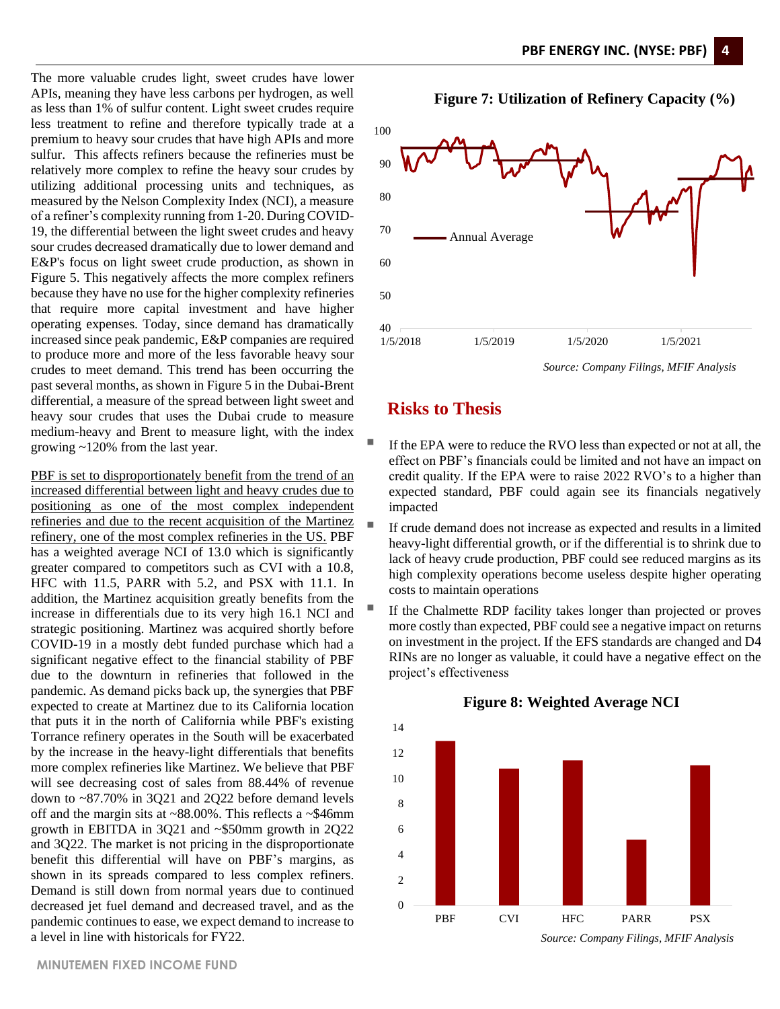The more valuable crudes light, sweet crudes have lower APIs, meaning they have less carbons per hydrogen, as well as less than 1% of sulfur content. Light sweet crudes require less treatment to refine and therefore typically trade at a premium to heavy sour crudes that have high APIs and more sulfur. This affects refiners because the refineries must be relatively more complex to refine the heavy sour crudes by utilizing additional processing units and techniques, as measured by the Nelson Complexity Index (NCI), a measure of a refiner's complexity running from 1-20. During COVID-19, the differential between the light sweet crudes and heavy sour crudes decreased dramatically due to lower demand and E&P's focus on light sweet crude production, as shown in Figure 5. This negatively affects the more complex refiners because they have no use for the higher complexity refineries that require more capital investment and have higher operating expenses. Today, since demand has dramatically increased since peak pandemic, E&P companies are required to produce more and more of the less favorable heavy sour crudes to meet demand. This trend has been occurring the past several months, as shown in Figure 5 in the Dubai-Brent differential, a measure of the spread between light sweet and heavy sour crudes that uses the Dubai crude to measure medium-heavy and Brent to measure light, with the index growing ~120% from the last year.

PBF is set to disproportionately benefit from the trend of an increased differential between light and heavy crudes due to positioning as one of the most complex independent refineries and due to the recent acquisition of the Martinez refinery, one of the most complex refineries in the US. PBF has a weighted average NCI of 13.0 which is significantly greater compared to competitors such as CVI with a 10.8, HFC with 11.5, PARR with 5.2, and PSX with 11.1. In addition, the Martinez acquisition greatly benefits from the increase in differentials due to its very high 16.1 NCI and strategic positioning. Martinez was acquired shortly before COVID-19 in a mostly debt funded purchase which had a significant negative effect to the financial stability of PBF due to the downturn in refineries that followed in the pandemic. As demand picks back up, the synergies that PBF expected to create at Martinez due to its California location that puts it in the north of California while PBF's existing Torrance refinery operates in the South will be exacerbated by the increase in the heavy-light differentials that benefits more complex refineries like Martinez. We believe that PBF will see decreasing cost of sales from 88.44% of revenue down to ~87.70% in 3Q21 and 2Q22 before demand levels off and the margin sits at ~88.00%. This reflects a ~\$46mm growth in EBITDA in 3Q21 and ~\$50mm growth in 2Q22 and 3Q22. The market is not pricing in the disproportionate benefit this differential will have on PBF's margins, as shown in its spreads compared to less complex refiners. Demand is still down from normal years due to continued decreased jet fuel demand and decreased travel, and as the pandemic continues to ease, we expect demand to increase to a level in line with historicals for FY22.



### **Figure 7: Utilization of Refinery Capacity (%)**



# **Risks to Thesis**

- If the EPA were to reduce the RVO less than expected or not at all, the effect on PBF's financials could be limited and not have an impact on credit quality. If the EPA were to raise 2022 RVO's to a higher than expected standard, PBF could again see its financials negatively impacted
- If crude demand does not increase as expected and results in a limited heavy-light differential growth, or if the differential is to shrink due to lack of heavy crude production, PBF could see reduced margins as its high complexity operations become useless despite higher operating costs to maintain operations
- If the Chalmette RDP facility takes longer than projected or proves more costly than expected, PBF could see a negative impact on returns on investment in the project. If the EFS standards are changed and D4 RINs are no longer as valuable, it could have a negative effect on the project's effectiveness



### **Figure 8: Weighted Average NCI**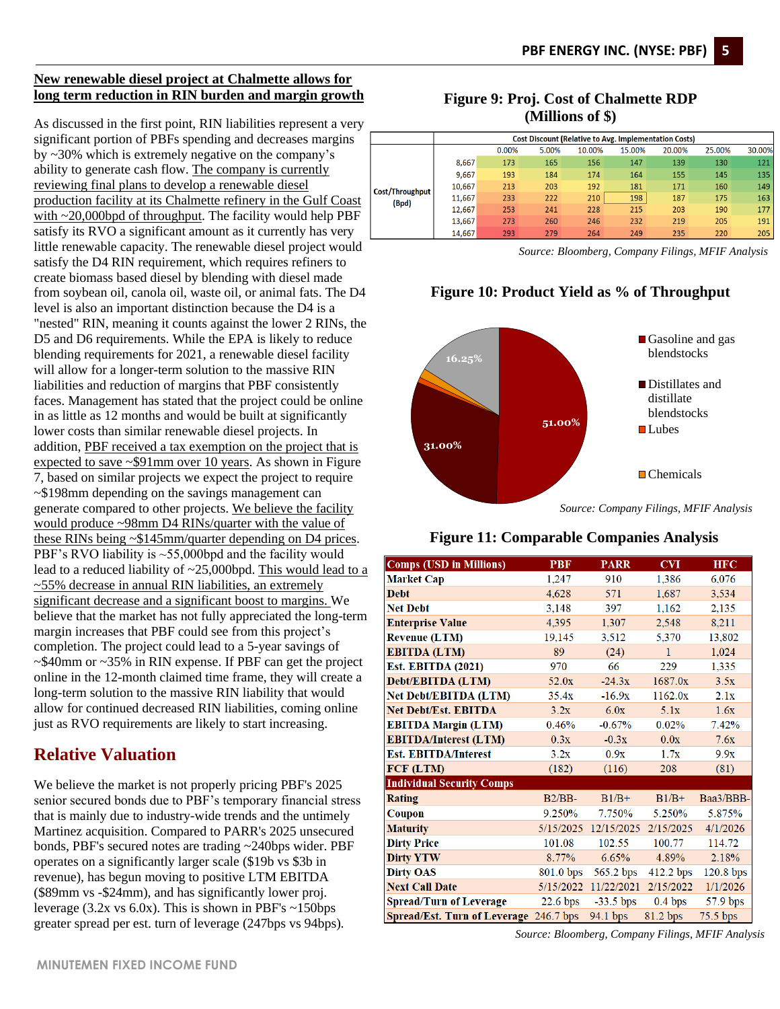### **New renewable diesel project at Chalmette allows for long term reduction in RIN burden and margin growth**

As discussed in the first point, RIN liabilities represent a very significant portion of PBFs spending and decreases margins by ~30% which is extremely negative on the company's ability to generate cash flow. The company is currently reviewing final plans to develop a renewable diesel production facility at its Chalmette refinery in the Gulf Coast with ~20,000bpd of throughput. The facility would help PBF satisfy its RVO a significant amount as it currently has very little renewable capacity. The renewable diesel project would satisfy the D4 RIN requirement, which requires refiners to create biomass based diesel by blending with diesel made from soybean oil, canola oil, waste oil, or animal fats. The D4 level is also an important distinction because the D4 is a "nested" RIN, meaning it counts against the lower 2 RINs, the D5 and D6 requirements. While the EPA is likely to reduce blending requirements for 2021, a renewable diesel facility will allow for a longer-term solution to the massive RIN liabilities and reduction of margins that PBF consistently faces. Management has stated that the project could be online in as little as 12 months and would be built at significantly lower costs than similar renewable diesel projects. In addition, PBF received a tax exemption on the project that is expected to save ~\$91mm over 10 years. As shown in Figure 7, based on similar projects we expect the project to require ~\$198mm depending on the savings management can generate compared to other projects. We believe the facility would produce ~98mm D4 RINs/quarter with the value of these RINs being ~\$145mm/quarter depending on D4 prices. PBF's RVO liability is ~55,000bpd and the facility would lead to a reduced liability of ~25,000bpd. This would lead to a  $\sim$ 55% decrease in annual RIN liabilities, an extremely significant decrease and a significant boost to margins. We believe that the market has not fully appreciated the long-term margin increases that PBF could see from this project's completion. The project could lead to a 5-year savings of ~\$40mm or ~35% in RIN expense. If PBF can get the project online in the 12-month claimed time frame, they will create a long-term solution to the massive RIN liability that would allow for continued decreased RIN liabilities, coming online just as RVO requirements are likely to start increasing.

# **Relative Valuation**

We believe the market is not properly pricing PBF's 2025 senior secured bonds due to PBF's temporary financial stress that is mainly due to industry-wide trends and the untimely Martinez acquisition. Compared to PARR's 2025 unsecured bonds, PBF's secured notes are trading ~240bps wider. PBF operates on a significantly larger scale (\$19b vs \$3b in revenue), has begun moving to positive LTM EBITDA (\$89mm vs -\$24mm), and has significantly lower proj. leverage (3.2x vs 6.0x). This is shown in PBF's  $\sim$ 150bps greater spread per est. turn of leverage (247bps vs 94bps).

# **Figure 9: Proj. Cost of Chalmette RDP (Millions of \$)**

|  |                 |        |       |       |        | <b>Cost Discount (Relative to Avg. Implementation Costs)</b> |        |        |        |
|--|-----------------|--------|-------|-------|--------|--------------------------------------------------------------|--------|--------|--------|
|  |                 |        | 0.00% | 5.00% | 10.00% | 15.00%                                                       | 20.00% | 25.00% | 30.00% |
|  |                 | 8.667  | 173   | 165   | 156    | 147                                                          | 139    | 130    | 121    |
|  |                 | 9,667  | 193   | 184   | 174    | 164                                                          | 155    | 145    | 135    |
|  | Cost/Throughput | 10,667 | 213   | 203   | 192    | 181                                                          | 171    | 160    | 149    |
|  | (Bpd)           | 11.667 | 233   | 222   | 210    | 198                                                          | 187    | 175    | 163    |
|  |                 | 12.667 | 253   | 241   | 228    | 215                                                          | 203    | 190    | 177    |
|  |                 | 13.667 | 273   | 260   | 246    | 232                                                          | 219    | 205    | 191    |
|  |                 | 14.667 | 293   | 279   | 264    | 249                                                          | 235    | 220    | 205    |

*Source: Bloomberg, Company Filings, MFIF Analysis*

# **Figure 10: Product Yield as % of Throughput**



*Source: Company Filings, MFIF Analysis*

# **Figure 11: Comparable Companies Analysis**

| <b>Comps (USD in Millions)</b>      | <b>PBF</b> | <b>PARR</b> | <b>CVI</b>   | <b>HFC</b>  |  |
|-------------------------------------|------------|-------------|--------------|-------------|--|
| <b>Market Cap</b>                   | 1,247      | 910         | 1,386        | 6,076       |  |
| <b>Debt</b>                         | 4,628      | 571         | 1,687        | 3,534       |  |
| <b>Net Debt</b>                     | 3,148      | 397         | 1,162        | 2,135       |  |
| <b>Enterprise Value</b>             | 4,395      | 1,307       | 2,548        | 8,211       |  |
| <b>Revenue (LTM)</b>                | 19,145     | 3,512       | 5,370        | 13,802      |  |
| <b>EBITDA (LTM)</b>                 | 89         | (24)        | $\mathbf{1}$ | 1,024       |  |
| <b>Est. EBITDA (2021)</b>           | 970        | 66          | 229          | 1,335       |  |
| Debt/EBITDA (LTM)                   | 52.0x      | $-24.3x$    | 1687.0x      | 3.5x        |  |
| <b>Net Debt/EBITDA (LTM)</b>        | 35.4x      | $-16.9x$    | 1162.0x      | 2.1x        |  |
| <b>Net Debt/Est. EBITDA</b>         | 3.2x       | 6.0x        | 5.1x         | 1.6x        |  |
| <b>EBITDA Margin (LTM)</b>          | 0.46%      | $-0.67%$    | 0.02%        | 7.42%       |  |
| <b>EBITDA/Interest (LTM)</b>        | 0.3x       | $-0.3x$     | 0.0x         | 7.6x        |  |
| <b>Est. EBITDA/Interest</b>         | 3.2x       | 0.9x        | 1.7x         | 9.9x        |  |
| FCF (LTM)                           | (182)      | (116)       | 208          | (81)        |  |
| <b>Individual Security Comps</b>    |            |             |              |             |  |
| <b>Rating</b>                       | $B2/BB-$   | $B1/B+$     | $B1/B+$      | Baa3/BBB-   |  |
| Coupon                              | 9.250%     | 7.750%      | 5.250%       | 5.875%      |  |
| <b>Maturity</b>                     | 5/15/2025  | 12/15/2025  | 2/15/2025    | 4/1/2026    |  |
| <b>Dirty Price</b>                  | 101.08     | 102.55      | 100.77       | 114.72      |  |
| <b>Dirty YTW</b>                    | 8.77%      | 6.65%       | 4.89%        | 2.18%       |  |
| <b>Dirty OAS</b>                    | 801.0 bps  | 565.2 bps   | 412.2 bps    | $120.8$ bps |  |
| <b>Next Call Date</b>               | 5/15/2022  | 11/22/2021  | 2/15/2022    | 1/1/2026    |  |
| <b>Spread/Turn of Leverage</b>      | $22.6$ bps | $-33.5$ bps | 0.4 bps      | 57.9 bps    |  |
| <b>Spread/Est. Turn of Leverage</b> | 246.7 bps  | 94.1 bps    | 81.2 bps     | 75.5 bps    |  |

*Source: Bloomberg, Company Filings, MFIF Analysis*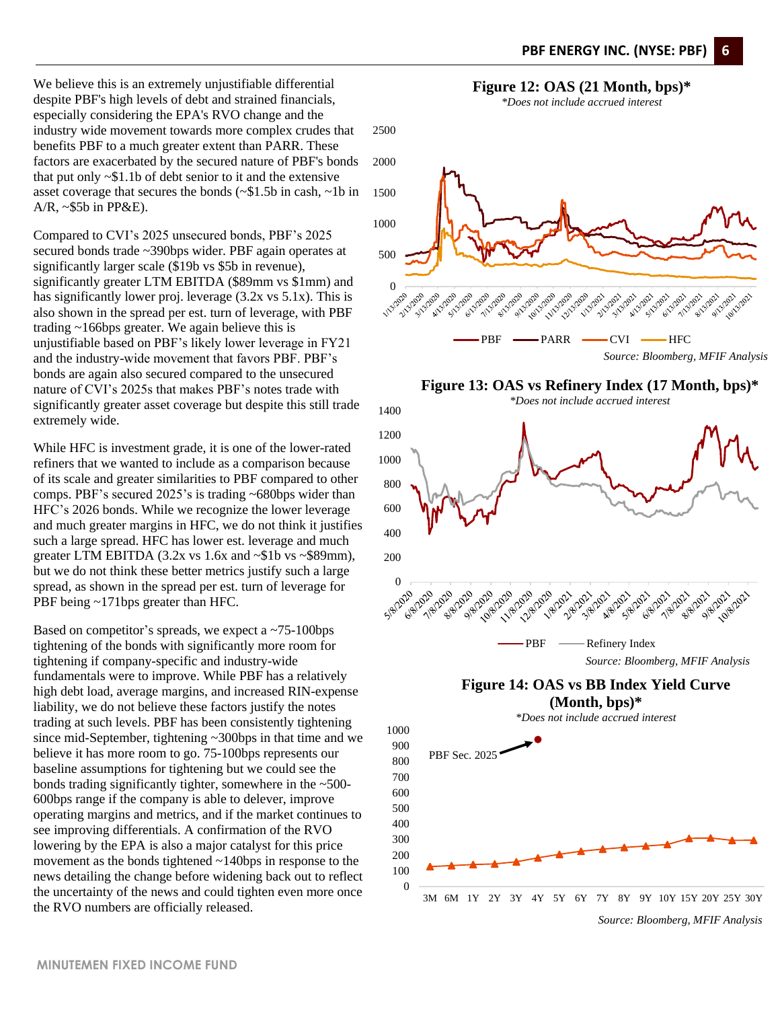We believe this is an extremely unjustifiable differential despite PBF's high levels of debt and strained financials, especially considering the EPA's RVO change and the industry wide movement towards more complex crudes that benefits PBF to a much greater extent than PARR. These factors are exacerbated by the secured nature of PBF's bonds that put only  $\sim$ \$1.1b of debt senior to it and the extensive asset coverage that secures the bonds (~\$1.5b in cash, ~1b in A/R, ~\$5b in PP&E).

Compared to CVI's 2025 unsecured bonds, PBF's 2025 secured bonds trade ~390bps wider. PBF again operates at significantly larger scale (\$19b vs \$5b in revenue), significantly greater LTM EBITDA (\$89mm vs \$1mm) and has significantly lower proj. leverage (3.2x vs 5.1x). This is also shown in the spread per est. turn of leverage, with PBF trading ~166bps greater. We again believe this is unjustifiable based on PBF's likely lower leverage in FY21 and the industry-wide movement that favors PBF. PBF's bonds are again also secured compared to the unsecured nature of CVI's 2025s that makes PBF's notes trade with significantly greater asset coverage but despite this still trade extremely wide.

While HFC is investment grade, it is one of the lower-rated refiners that we wanted to include as a comparison because of its scale and greater similarities to PBF compared to other comps. PBF's secured 2025's is trading ~680bps wider than HFC's 2026 bonds. While we recognize the lower leverage and much greater margins in HFC, we do not think it justifies such a large spread. HFC has lower est. leverage and much greater LTM EBITDA  $(3.2x \text{ vs } 1.6x \text{ and } -\$1b \text{ vs } -\$89 \text{ mm})$ , but we do not think these better metrics justify such a large spread, as shown in the spread per est. turn of leverage for PBF being ~171bps greater than HFC.

Based on competitor's spreads, we expect a ~75-100bps tightening of the bonds with significantly more room for tightening if company-specific and industry-wide fundamentals were to improve. While PBF has a relatively high debt load, average margins, and increased RIN-expense liability, we do not believe these factors justify the notes trading at such levels. PBF has been consistently tightening since mid-September, tightening ~300bps in that time and we believe it has more room to go. 75-100bps represents our baseline assumptions for tightening but we could see the bonds trading significantly tighter, somewhere in the ~500- 600bps range if the company is able to delever, improve operating margins and metrics, and if the market continues to see improving differentials. A confirmation of the RVO lowering by the EPA is also a major catalyst for this price movement as the bonds tightened ~140bps in response to the news detailing the change before widening back out to reflect the uncertainty of the news and could tighten even more once the RVO numbers are officially released.